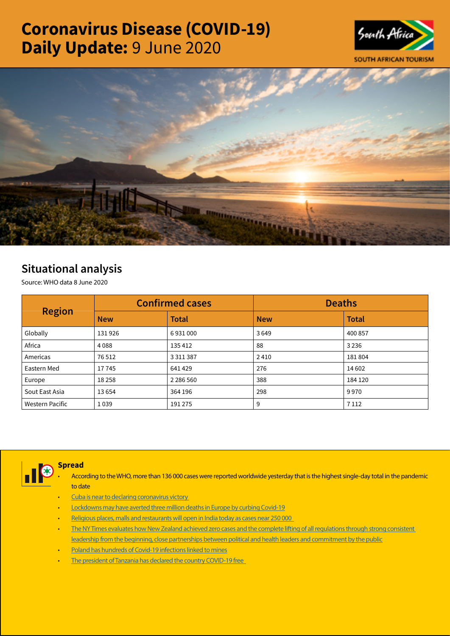# Coronavirus Disease (COVID-19) Daily Update: 9 June 2020





# Situational analysis

Source: WHO data 8 June 2020

| <b>Region</b>   |            | <b>Confirmed cases</b> | <b>Deaths</b> |              |  |
|-----------------|------------|------------------------|---------------|--------------|--|
|                 | <b>New</b> | <b>Total</b>           | <b>New</b>    | <b>Total</b> |  |
| Globally        | 131926     | 6931000                | 3649          | 400 857      |  |
| Africa          | 4088       | 135 412                | 88            | 3 2 3 6      |  |
| Americas        | 76 512     | 3 3 1 1 3 8 7          | 2410          | 181804       |  |
| Eastern Med     | 17745      | 641429                 | 276           | 14 602       |  |
| Europe          | 18258      | 2 2 8 5 5 6 0          | 388           | 184 120      |  |
| Sout East Asia  | 13654      | 364 196                | 298           | 9970         |  |
| Western Pacific | 1039       | 191 275                | 9             | 7 1 1 2      |  |



Spread

- According to the WHO, more than 136 000 cases were reported worldwide yesterday that is the highest single-day total in the pandemic to date
- Cuba is near to declaring coronavirus victory
- [Lockdowns may have averted three million deaths in Europe by curbing Covid-19](https://t.co/VXuQIwSkZo?amp=1)
- [Religious places, malls and restaurants will open in India today as cases near 250 000](https://t.co/f0jaVgItH3?amp=1)
- The NY Times evaluates how New Zealand achieved zero cases and the complete lifting of all regulations through strong consistent [leadership from the beginning, close partnerships between political and health leaders and commitment by the public](https://t.co/FueRjub8W5?amp=1)
- [Poland has hundreds of Covid-19 infections linked to mines](https://t.co/oyHDmtkNoX?amp=1)
- The president of Tanzania has declared the country COVID-19 free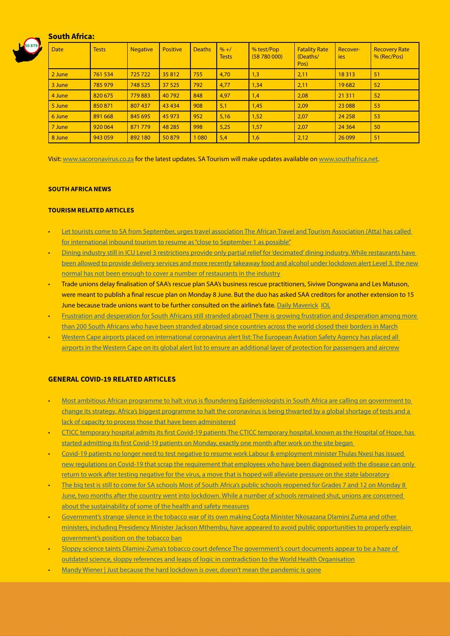# South Africa:



| <b>Date</b> | <b>Tests</b> | <b>Negative</b> | <b>Positive</b> | <b>Deaths</b> | $% + /$<br><b>Tests</b> | % test/Pop<br>(58780000) | <b>Fatality Rate</b><br>(Deaths/<br>Pos) | Recover-<br>ies | <b>Recovery Rate</b><br>% (Rec/Pos) |
|-------------|--------------|-----------------|-----------------|---------------|-------------------------|--------------------------|------------------------------------------|-----------------|-------------------------------------|
| 2 June      | 761 534      | 725722          | 35812           | 755           | 4,70                    | 1,3                      | 2,11                                     | 18313           | 51                                  |
| 3 June      | 785 979      | 748 525         | 37 5 25         | 792           | 4,77                    | 1,34                     | 2,11                                     | 19682           | 52                                  |
| 4 June      | 820 675      | 779883          | 40792           | 848           | 4,97                    | 1,4                      | 2,08                                     | 21 3 11         | 52                                  |
| 5 June      | 850871       | 807 437         | 43 4 34         | 908           | 5,1                     | 1,45                     | 2,09                                     | 23 0 88         | 53                                  |
| 6 June      | 891 668      | 845 695         | 45 973          | 952           | 5,16                    | 1,52                     | 2,07                                     | 24 25 8         | 53                                  |
| 7 June      | 920 064      | 871779          | 48 285          | 998           | 5,25                    | 1,57                     | 2,07                                     | 24 3 64         | 50                                  |
| 8 June      | 943 059      | 892 180         | 50879           | 1 0 8 0       | 5,4                     | 1,6                      | 2,12                                     | 26 099          | 51                                  |

Visit: [www.sacoronavirus.co.za](http://www.sacoronavirus.co.za) for the latest updates. SA Tourism will make updates available on [www.southafrica.net.](http://www.southafrica.net)

#### SOUTH AFRICA NEWS

## TOURISM RELATED ARTICLES

- [Let tourists come to SA from September, urges travel association The African Travel and Tourism Association \(Atta\) has called](https://www.timeslive.co.za/news/south-africa/2020-06-09-let-tourists-come-to-sa-from-september-urges-travel-association/)  [for international inbound tourism to resume as "close to September 1 as possible"](https://www.timeslive.co.za/news/south-africa/2020-06-09-let-tourists-come-to-sa-from-september-urges-travel-association/)
- [Dining industry still in ICU Level 3 restrictions provide only partial relief for 'decimated' dining industry. While restaurants have](https://www.moneyweb.co.za/news/industry/dining-industry-still-in-icu/)  been allowed to provide delivery services and more recently takeaway food and alcohol under lockdown alert Level 3, the new [normal has not been enough to cover a number of restaurants in the industry](https://www.moneyweb.co.za/news/industry/dining-industry-still-in-icu/)
- Trade unions delay finalisation of SAA's rescue plan SAA's business rescue practitioners, Siviwe Dongwana and Les Matuson, were meant to publish a final rescue plan on Monday 8 June. But the duo has asked SAA creditors for another extension to 15 June because trade unions want to be further consulted on the airline's fate. [Daily Maverick](https://www.dailymaverick.co.za/article/2020-06-09-trade-unions-delay-finalisation-of-saas-rescue-plan/#gsc.tab=0) [IOL](https://www.iol.co.za/business-report/companies/saa-forced-to-wait-for-restructuring-decision-49149437)
- [Frustration and desperation for South Africans still stranded abroad There is growing frustration and desperation among more](https://www.businesslive.co.za/bd/national/2020-06-08-frustration-and-desperation-for-south-africans-still-stranded-abroad/)  [than 200 South Africans who have been stranded abroad since countries across the world closed their borders in March](https://www.businesslive.co.za/bd/national/2020-06-08-frustration-and-desperation-for-south-africans-still-stranded-abroad/)
- [Western Cape airports placed on international coronavirus alert list: The European Aviation Safety Agency has placed all](https://www.news24.com/fin24/companies/industrial/western-cape-airports-placed-on-international-coronavirus-alert-list-20200608)  [airports in the Western Cape on its global alert list to ensure an additional layer of protection for passengers and aircrew](https://www.news24.com/fin24/companies/industrial/western-cape-airports-placed-on-international-coronavirus-alert-list-20200608)

#### GENERAL COVID-19 RELATED ARTICLES

- [Most ambitious African programme to halt virus is floundering Epidemiologists in South Africa are calling on government to](https://www.moneyweb.co.za/news/south-africa/most-ambitious-african-programme-to-halt-virus-is-floundering/)  [change its strategy. Africa's biggest programme to halt the coronavirus is being thwarted by a global shortage of tests and a](https://www.moneyweb.co.za/news/south-africa/most-ambitious-african-programme-to-halt-virus-is-floundering/)  [lack of capacity to process those that have been administered](https://www.moneyweb.co.za/news/south-africa/most-ambitious-african-programme-to-halt-virus-is-floundering/)
- [CTICC temporary hospital admits its first Covid-19 patients The CTICC temporary hospital, known as the Hospital of Hope, has](https://www.iol.co.za/capeargus/news/cticc-temporary-hospital-admits-its-first-covid-19-patients-49128145)  [started admitting its first Covid-19 patients on Monday, exactly one month after work on the site began](https://www.iol.co.za/capeargus/news/cticc-temporary-hospital-admits-its-first-covid-19-patients-49128145)
- [Covid-19 patients no longer need to test negative to resume work Labour & employment minister Thulas Nxesi has issued](https://www.businesslive.co.za/bd/national/2020-06-08-covid-19-patients-no-longer-need-to-test-negative-to-resume-work/)  new regulations on Covid-19 that scrap the requirement that employees who have been diagnosed with the disease can only [return to work after testing negative for the virus, a move that is hoped will alleviate pressure on the state laboratory](https://www.businesslive.co.za/bd/national/2020-06-08-covid-19-patients-no-longer-need-to-test-negative-to-resume-work/)
- [The big test is still to come for SA schools Most of South Africa's public schools reopened for Grades 7 and 12 on Monday 8](https://www.dailymaverick.co.za/article/2020-06-09-the-big-test-is-still-to-come-for-sa-schools/#gsc.tab=0)  [June, two months after the country went into lockdown. While a number of schools remained shut, unions are concerned](https://www.dailymaverick.co.za/article/2020-06-09-the-big-test-is-still-to-come-for-sa-schools/#gsc.tab=0)  [about the sustainability of some of the health and safety measures](https://www.dailymaverick.co.za/article/2020-06-09-the-big-test-is-still-to-come-for-sa-schools/#gsc.tab=0)
- [Government's strange silence in the tobacco war of its own making Cogta Minister Nkosazana Dlamini Zuma and other](https://www.dailymaverick.co.za/article/2020-06-09-governments-strange-silence-in-the-tobacco-war-of-its-own-making/?utm_source=homepagify#gsc.tab=0)  [ministers, including Presidency Minister Jackson Mthembu, have appeared to avoid public opportunities to properly explain](https://www.dailymaverick.co.za/article/2020-06-09-governments-strange-silence-in-the-tobacco-war-of-its-own-making/?utm_source=homepagify#gsc.tab=0)  [government's position on the tobacco ban](https://www.dailymaverick.co.za/article/2020-06-09-governments-strange-silence-in-the-tobacco-war-of-its-own-making/?utm_source=homepagify#gsc.tab=0)
- [Sloppy science taints Dlamini-Zuma's tobacco court defence The government's court documents appear to be a haze of](https://www.businesslive.co.za/fm/features/2020-06-09-sloppy-science-taints-dlamini-zumas-tobacco-court-defence/)  [outdated science, sloppy references and leaps of logic in contradiction to the World Health Organisation](https://www.businesslive.co.za/fm/features/2020-06-09-sloppy-science-taints-dlamini-zumas-tobacco-court-defence/)
- [Mandy Wiener | Just because the hard lockdown is over, doesn't mean the pandemic is gone](https://www.news24.com/news24/columnists/mandy_wiener/mandy-wiener-just-because-the-hard-lockdown-is-over-doesnt-mean-the-pandemic-is-gone-20200609)